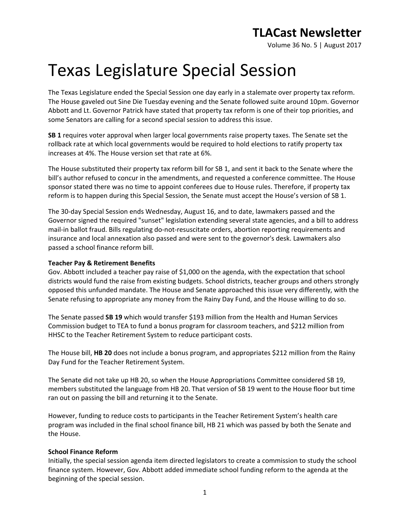Volume 36 No. 5 | August 2017

# Texas Legislature Special Session

The Texas Legislature ended the Special Session one day early in a stalemate over property tax reform. The House gaveled out Sine Die Tuesday evening and the Senate followed suite around 10pm. Governor Abbott and Lt. Governor Patrick have stated that property tax reform is one of their top priorities, and some Senators are calling for a second special session to address this issue.

**SB 1** requires voter approval when larger local governments raise property taxes. The Senate set the rollback rate at which local governments would be required to hold elections to ratify property tax increases at 4%. The House version set that rate at 6%.

The House substituted their property tax reform bill for SB 1, and sent it back to the Senate where the bill's author refused to concur in the amendments, and requested a conference committee. The House sponsor stated there was no time to appoint conferees due to House rules. Therefore, if property tax reform is to happen during this Special Session, the Senate must accept the House's version of SB 1.

The 30-day Special Session ends Wednesday, August 16, and to date, lawmakers passed and the Governor signed the required "sunset" legislation extending several state agencies, and a bill to address mail-in ballot fraud. Bills regulating do-not-resuscitate orders, abortion reporting requirements and insurance and local annexation also passed and were sent to the governor's desk. Lawmakers also passed a school finance reform bill.

#### **Teacher Pay & Retirement Benefits**

Gov. Abbott included a teacher pay raise of \$1,000 on the agenda, with the expectation that school districts would fund the raise from existing budgets. School districts, teacher groups and others strongly opposed this unfunded mandate. The House and Senate approached this issue very differently, with the Senate refusing to appropriate any money from the Rainy Day Fund, and the House willing to do so.

The Senate passed **SB 19** which would transfer \$193 million from the Health and Human Services Commission budget to TEA to fund a bonus program for classroom teachers, and \$212 million from HHSC to the Teacher Retirement System to reduce participant costs.

The House bill, **HB 20** does not include a bonus program, and appropriates \$212 million from the Rainy Day Fund for the Teacher Retirement System.

The Senate did not take up HB 20, so when the House Appropriations Committee considered SB 19, members substituted the language from HB 20. That version of SB 19 went to the House floor but time ran out on passing the bill and returning it to the Senate.

However, funding to reduce costs to participants in the Teacher Retirement System's health care program was included in the final school finance bill, HB 21 which was passed by both the Senate and the House.

#### **School Finance Reform**

Initially, the special session agenda item directed legislators to create a commission to study the school finance system. However, Gov. Abbott added immediate school funding reform to the agenda at the beginning of the special session.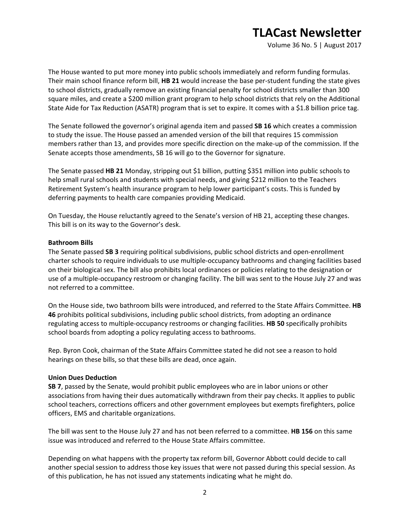Volume 36 No. 5 | August 2017

The House wanted to put more money into public schools immediately and reform funding formulas. Their main school finance reform bill, **HB 21** would increase the base per-student funding the state gives to school districts, gradually remove an existing financial penalty for school districts smaller than 300 square miles, and create a \$200 million grant program to help school districts that rely on the Additional State Aide for Tax Reduction (ASATR) program that is set to expire. It comes with a \$1.8 billion price tag.

The Senate followed the governor's original agenda item and passed **SB 16** which creates a commission to study the issue. The House passed an amended version of the bill that requires 15 commission members rather than 13, and provides more specific direction on the make-up of the commission. If the Senate accepts those amendments, SB 16 will go to the Governor for signature.

The Senate passed **HB 21** Monday, stripping out \$1 billion, putting \$351 million into public schools to help small rural schools and students with special needs, and giving \$212 million to the Teachers Retirement System's health insurance program to help lower participant's costs. This is funded by deferring payments to health care companies providing Medicaid.

On Tuesday, the House reluctantly agreed to the Senate's version of HB 21, accepting these changes. This bill is on its way to the Governor's desk.

#### **Bathroom Bills**

The Senate passed **SB 3** requiring political subdivisions, public school districts and open-enrollment charter schools to require individuals to use multiple-occupancy bathrooms and changing facilities based on their biological sex. The bill also prohibits local ordinances or policies relating to the designation or use of a multiple-occupancy restroom or changing facility. The bill was sent to the House July 27 and was not referred to a committee.

On the House side, two bathroom bills were introduced, and referred to the State Affairs Committee. **HB 46** prohibits political subdivisions, including public school districts, from adopting an ordinance regulating access to multiple-occupancy restrooms or changing facilities. **HB 50** specifically prohibits school boards from adopting a policy regulating access to bathrooms.

Rep. Byron Cook, chairman of the State Affairs Committee stated he did not see a reason to hold hearings on these bills, so that these bills are dead, once again.

#### **Union Dues Deduction**

**SB 7**, passed by the Senate, would prohibit public employees who are in labor unions or other associations from having their dues automatically withdrawn from their pay checks. It applies to public school teachers, corrections officers and other government employees but exempts firefighters, police officers, EMS and charitable organizations.

The bill was sent to the House July 27 and has not been referred to a committee. **HB 156** on this same issue was introduced and referred to the House State Affairs committee.

Depending on what happens with the property tax reform bill, Governor Abbott could decide to call another special session to address those key issues that were not passed during this special session. As of this publication, he has not issued any statements indicating what he might do.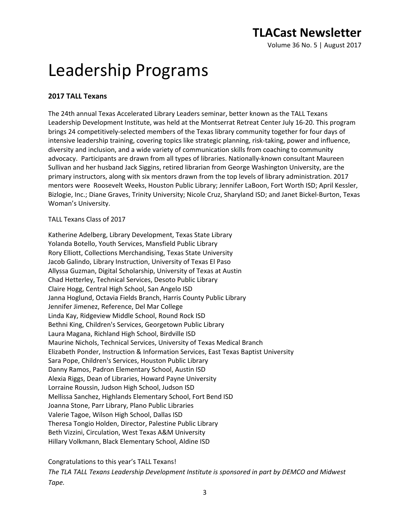Volume 36 No. 5 | August 2017

# Leadership Programs

### **2017 TALL Texans**

The 24th annual Texas Accelerated Library Leaders seminar, better known as the TALL Texans Leadership Development Institute, was held at the Montserrat Retreat Center July 16-20. This program brings 24 competitively-selected members of the Texas library community together for four days of intensive leadership training, covering topics like strategic planning, risk-taking, power and influence, diversity and inclusion, and a wide variety of communication skills from coaching to community advocacy. Participants are drawn from all types of libraries. Nationally-known consultant Maureen Sullivan and her husband Jack Siggins, retired librarian from George Washington University, are the primary instructors, along with six mentors drawn from the top levels of library administration. 2017 mentors were Roosevelt Weeks, Houston Public Library; Jennifer LaBoon, Fort Worth ISD; April Kessler, Bizlogie, Inc.; Diane Graves, Trinity University; Nicole Cruz, Sharyland ISD; and Janet Bickel-Burton, Texas Woman's University.

### TALL Texans Class of 2017

Katherine Adelberg, Library Development, Texas State Library Yolanda Botello, Youth Services, Mansfield Public Library Rory Elliott, Collections Merchandising, Texas State University Jacob Galindo, Library Instruction, University of Texas El Paso Allyssa Guzman, Digital Scholarship, University of Texas at Austin Chad Hetterley, Technical Services, Desoto Public Library Claire Hogg, Central High School, San Angelo ISD Janna Hoglund, Octavia Fields Branch, Harris County Public Library Jennifer Jimenez, Reference, Del Mar College Linda Kay, Ridgeview Middle School, Round Rock ISD Bethni King, Children's Services, Georgetown Public Library Laura Magana, Richland High School, Birdville ISD Maurine Nichols, Technical Services, University of Texas Medical Branch Elizabeth Ponder, Instruction & Information Services, East Texas Baptist University Sara Pope, Children's Services, Houston Public Library Danny Ramos, Padron Elementary School, Austin ISD Alexia Riggs, Dean of Libraries, Howard Payne University Lorraine Roussin, Judson High School, Judson ISD Mellissa Sanchez, Highlands Elementary School, Fort Bend ISD Joanna Stone, Parr Library, Plano Public Libraries Valerie Tagoe, Wilson High School, Dallas ISD Theresa Tongio Holden, Director, Palestine Public Library Beth Vizzini, Circulation, West Texas A&M University Hillary Volkmann, Black Elementary School, Aldine ISD

Congratulations to this year's TALL Texans! *The TLA TALL Texans Leadership Development Institute is sponsored in part by DEMCO and Midwest Tape.*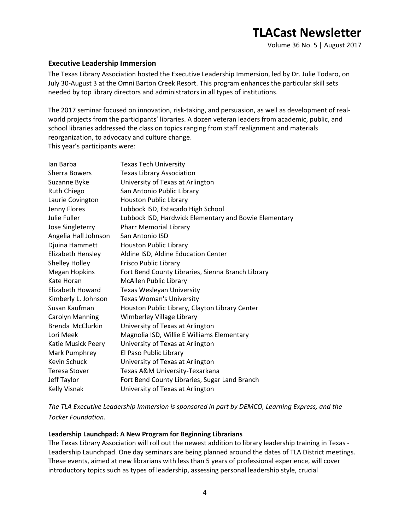### **Executive Leadership Immersion**

The Texas Library Association hosted the Executive Leadership Immersion, led by Dr. Julie Todaro, on July 30-August 3 at the Omni Barton Creek Resort. This program enhances the particular skill sets needed by top library directors and administrators in all types of institutions.

The 2017 seminar focused on innovation, risk-taking, and persuasion, as well as development of realworld projects from the participants' libraries. A dozen veteran leaders from academic, public, and school libraries addressed the class on topics ranging from staff realignment and materials reorganization, to advocacy and culture change. This year's participants were:

| lan Barba            | <b>Texas Tech University</b>                          |
|----------------------|-------------------------------------------------------|
| <b>Sherra Bowers</b> | <b>Texas Library Association</b>                      |
| Suzanne Byke         | University of Texas at Arlington                      |
| Ruth Chiego          | San Antonio Public Library                            |
| Laurie Covington     | Houston Public Library                                |
| Jenny Flores         | Lubbock ISD, Estacado High School                     |
| Julie Fuller         | Lubbock ISD, Hardwick Elementary and Bowie Elementary |
| Jose Singleterry     | <b>Pharr Memorial Library</b>                         |
| Angelia Hall Johnson | San Antonio ISD                                       |
| Djuina Hammett       | <b>Houston Public Library</b>                         |
| Elizabeth Hensley    | Aldine ISD, Aldine Education Center                   |
| Shelley Holley       | Frisco Public Library                                 |
| Megan Hopkins        | Fort Bend County Libraries, Sienna Branch Library     |
| Kate Horan           | <b>McAllen Public Library</b>                         |
| Elizabeth Howard     | Texas Wesleyan University                             |
| Kimberly L. Johnson  | <b>Texas Woman's University</b>                       |
| Susan Kaufman        | Houston Public Library, Clayton Library Center        |
| Carolyn Manning      | Wimberley Village Library                             |
| Brenda McClurkin     | University of Texas at Arlington                      |
| Lori Meek            | Magnolia ISD, Willie E Williams Elementary            |
| Katie Musick Peery   | University of Texas at Arlington                      |
| Mark Pumphrey        | El Paso Public Library                                |
| Kevin Schuck         | University of Texas at Arlington                      |
| <b>Teresa Stover</b> | Texas A&M University-Texarkana                        |
| Jeff Taylor          | Fort Bend County Libraries, Sugar Land Branch         |
| Kelly Visnak         | University of Texas at Arlington                      |

*The TLA Executive Leadership Immersion is sponsored in part by DEMCO, Learning Express, and the Tocker Foundation.*

### **Leadership Launchpad: A New Program for Beginning Librarians**

The Texas Library Association will roll out the newest addition to library leadership training in Texas - Leadership Launchpad. One day seminars are being planned around the dates of TLA District meetings. These events, aimed at new librarians with less than 5 years of professional experience, will cover introductory topics such as types of leadership, assessing personal leadership style, crucial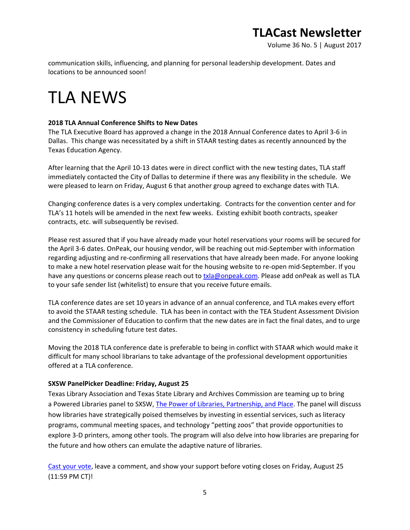Volume 36 No. 5 | August 2017

communication skills, influencing, and planning for personal leadership development. Dates and locations to be announced soon!

# TLA NEWS

### **2018 TLA Annual Conference Shifts to New Dates**

The TLA Executive Board has approved a change in the 2018 Annual Conference dates to April 3-6 in Dallas. This change was necessitated by a shift in STAAR testing dates as recently announced by the Texas Education Agency.

After learning that the April 10-13 dates were in direct conflict with the new testing dates, TLA staff immediately contacted the City of Dallas to determine if there was any flexibility in the schedule. We were pleased to learn on Friday, August 6 that another group agreed to exchange dates with TLA.

Changing conference dates is a very complex undertaking. Contracts for the convention center and for TLA's 11 hotels will be amended in the next few weeks. Existing exhibit booth contracts, speaker contracts, etc. will subsequently be revised.

Please rest assured that if you have already made your hotel reservations your rooms will be secured for the April 3-6 dates. OnPeak, our housing vendor, will be reaching out mid-September with information regarding adjusting and re-confirming all reservations that have already been made. For anyone looking to make a new hotel reservation please wait for the housing website to re-open mid-September. If you have any questions or concerns please reach out to [txla@onpeak.com.](mailto:txla@onpeak.com) Please add onPeak as well as TLA to your safe sender list (whitelist) to ensure that you receive future emails.

TLA conference dates are set 10 years in advance of an annual conference, and TLA makes every effort to avoid the STAAR testing schedule. TLA has been in contact with the TEA Student Assessment Division and the Commissioner of Education to confirm that the new dates are in fact the final dates, and to urge consistency in scheduling future test dates.

Moving the 2018 TLA conference date is preferable to being in conflict with STAAR which would make it difficult for many school librarians to take advantage of the professional development opportunities offered at a TLA conference.

### **SXSW PanelPicker Deadline: Friday, August 25**

Texas Library Association and Texas State Library and Archives Commission are teaming up to bring a Powered Libraries panel to SXSW, [The Power of Libraries, Partnership, and Place.](http://panelpicker.sxsw.com/vote/79943) The panel will discuss how libraries have strategically poised themselves by investing in essential services, such as literacy programs, communal meeting spaces, and technology "petting zoos" that provide opportunities to explore 3-D printers, among other tools. The program will also delve into how libraries are preparing for the future and how others can emulate the adaptive nature of libraries.

[Cast your vote,](http://panelpicker.sxsw.com/vote/79943) leave a comment, and show your support before voting closes on Friday, August 25 (11:59 PM CT)!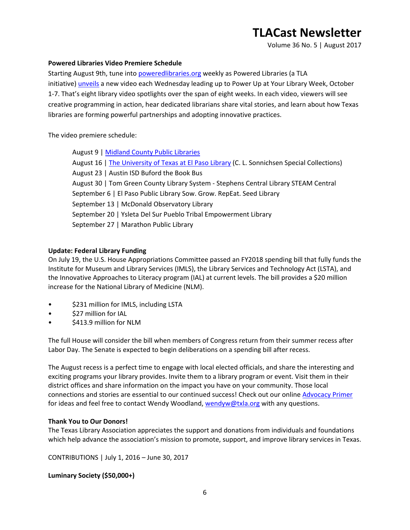Volume 36 No. 5 | August 2017

### **Powered Libraries Video Premiere Schedule**

Starting August 9th, tune into [poweredlibraries.org](http://www.poweredlibraries.org/) weekly as Powered Libraries (a TLA initiative) [unveils](https://www.youtube.com/watch?v=17urCjpeXaI) a new video each Wednesday leading up to Power Up at Your Library Week, October 1-7. That's eight library video spotlights over the span of eight weeks. In each video, viewers will see creative programming in action, hear dedicated librarians share vital stories, and learn about how Texas libraries are forming powerful partnerships and adopting innovative practices.

The video premiere schedule:

| August 9   Midland County Public Libraries                                                    |
|-----------------------------------------------------------------------------------------------|
| August 16   The University of Texas at El Paso Library (C. L. Sonnichsen Special Collections) |
| August 23   Austin ISD Buford the Book Bus                                                    |
| August 30   Tom Green County Library System - Stephens Central Library STEAM Central          |
| September 6   El Paso Public Library Sow. Grow. RepEat. Seed Library                          |
| September 13   McDonald Observatory Library                                                   |
| September 20   Ysleta Del Sur Pueblo Tribal Empowerment Library                               |
| September 27   Marathon Public Library                                                        |

#### **Update: Federal Library Funding**

On July 19, the U.S. House Appropriations Committee passed an FY2018 spending bill that fully funds the Institute for Museum and Library Services (IMLS), the Library Services and Technology Act (LSTA), and the Innovative Approaches to Literacy program (IAL) at current levels. The bill provides a \$20 million increase for the National Library of Medicine (NLM).

- \$231 million for IMLS, including LSTA
- \$27 million for IAL
- \$413.9 million for NLM

The full House will consider the bill when members of Congress return from their summer recess after Labor Day. The Senate is expected to begin deliberations on a spending bill after recess.

The August recess is a perfect time to engage with local elected officials, and share the interesting and exciting programs your library provides. Invite them to a library program or event. Visit them in their district offices and share information on the impact you have on your community. Those local connections and stories are essential to our continued success! Check out our onlin[e Advocacy Primer](http://www.txla.org/advocacy-how-to) for ideas and feel free to contact Wendy Woodland[, wendyw@txla.org](mailto:wendyw@txla.org) with any questions.

#### **Thank You to Our Donors!**

The Texas Library Association appreciates the support and donations from individuals and foundations which help advance the association's mission to promote, support, and improve library services in Texas.

CONTRIBUTIONS | July 1, 2016 – June 30, 2017

**Luminary Society (\$50,000+)**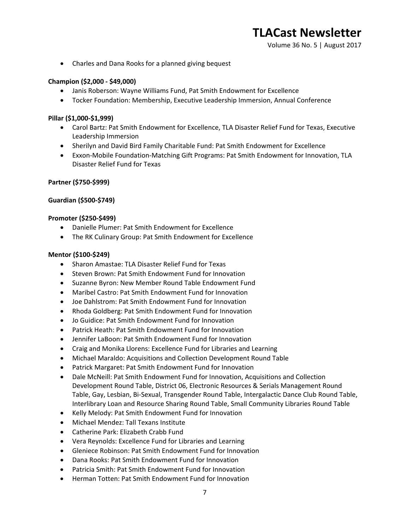Volume 36 No. 5 | August 2017

• Charles and Dana Rooks for a planned giving bequest

### **Champion (\$2,000 - \$49,000)**

- Janis Roberson: Wayne Williams Fund, Pat Smith Endowment for Excellence
- Tocker Foundation: Membership, Executive Leadership Immersion, Annual Conference

#### **Pillar (\$1,000-\$1,999)**

- Carol Bartz: Pat Smith Endowment for Excellence, TLA Disaster Relief Fund for Texas, Executive Leadership Immersion
- Sherilyn and David Bird Family Charitable Fund: Pat Smith Endowment for Excellence
- Exxon-Mobile Foundation-Matching Gift Programs: Pat Smith Endowment for Innovation, TLA Disaster Relief Fund for Texas

#### **Partner (\$750-\$999)**

#### **Guardian (\$500-\$749)**

#### **Promoter (\$250-\$499)**

- Danielle Plumer: Pat Smith Endowment for Excellence
- The RK Culinary Group: Pat Smith Endowment for Excellence

#### **Mentor (\$100-\$249)**

- Sharon Amastae: TLA Disaster Relief Fund for Texas
- Steven Brown: Pat Smith Endowment Fund for Innovation
- Suzanne Byron: New Member Round Table Endowment Fund
- Maribel Castro: Pat Smith Endowment Fund for Innovation
- Joe Dahlstrom: Pat Smith Endowment Fund for Innovation
- Rhoda Goldberg: Pat Smith Endowment Fund for Innovation
- Jo Guidice: Pat Smith Endowment Fund for Innovation
- Patrick Heath: Pat Smith Endowment Fund for Innovation
- Jennifer LaBoon: Pat Smith Endowment Fund for Innovation
- Craig and Monika Llorens: Excellence Fund for Libraries and Learning
- Michael Maraldo: Acquisitions and Collection Development Round Table
- Patrick Margaret: Pat Smith Endowment Fund for Innovation
- Dale McNeill: Pat Smith Endowment Fund for Innovation, Acquisitions and Collection Development Round Table, District 06, Electronic Resources & Serials Management Round Table, Gay, Lesbian, Bi-Sexual, Transgender Round Table, Intergalactic Dance Club Round Table, Interlibrary Loan and Resource Sharing Round Table, Small Community Libraries Round Table
- Kelly Melody: Pat Smith Endowment Fund for Innovation
- Michael Mendez: Tall Texans Institute
- Catherine Park: Elizabeth Crabb Fund
- Vera Reynolds: Excellence Fund for Libraries and Learning
- Gleniece Robinson: Pat Smith Endowment Fund for Innovation
- Dana Rooks: Pat Smith Endowment Fund for Innovation
- Patricia Smith: Pat Smith Endowment Fund for Innovation
- Herman Totten: Pat Smith Endowment Fund for Innovation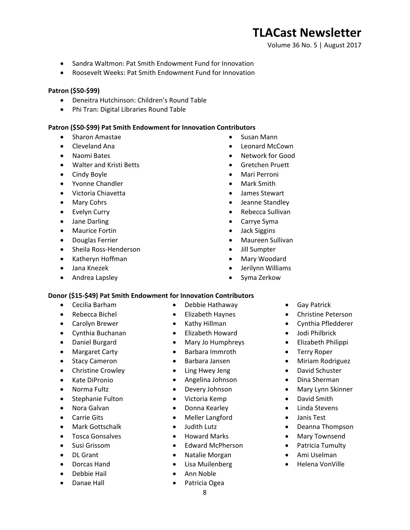Volume 36 No. 5 | August 2017

- Sandra Waltmon: Pat Smith Endowment Fund for Innovation
- Roosevelt Weeks: Pat Smith Endowment Fund for Innovation

#### **Patron (\$50-\$99)**

- Deneitra Hutchinson: Children's Round Table
- Phi Tran: Digital Libraries Round Table

#### **Patron (\$50-\$99) Pat Smith Endowment for Innovation Contributors**

- Sharon Amastae
- Cleveland Ana
- Naomi Bates
- Walter and Kristi Betts
- Cindy Boyle
- Yvonne Chandler
- Victoria Chiavetta
- Mary Cohrs
- Evelyn Curry
- Jane Darling
- Maurice Fortin
- Douglas Ferrier
- Sheila Ross-Henderson
- Katheryn Hoffman
- Jana Knezek
- Andrea Lapsley
- Susan Mann
- Leonard McCown
- Network for Good
- Gretchen Pruett
- Mari Perroni
- Mark Smith
- James Stewart
- Jeanne Standley
- Rebecca Sullivan
- Carrye Syma
- Jack Siggins
- Maureen Sullivan
- Jill Sumpter
- Mary Woodard
- Jerilynn Williams
- Syma Zerkow

### **Donor (\$15-\$49) Pat Smith Endowment for Innovation Contributors**

- Cecilia Barham
- Rebecca Bichel
- Carolyn Brewer
- Cynthia Buchanan
- Daniel Burgard
- Margaret Carty
- Stacy Cameron
- Christine Crowley
- Kate DiPronio
- Norma Fultz
- Stephanie Fulton
- Nora Galvan
- Carrie Gits
- Mark Gottschalk
- Tosca Gonsalves
- Susi Grissom
- DL Grant
- Dorcas Hand
- Debbie Hail
- Danae Hall
- Debbie Hathaway
- Elizabeth Haynes
- Kathy Hillman
- Elizabeth Howard
- Mary Jo Humphreys
- Barbara Immroth
- Barbara Jansen
- Ling Hwey Jeng
- Angelina Johnson
- Devery Johnson
- Victoria Kemp
- Donna Kearley
- Meller Langford
- Judith Lutz
- Howard Marks
- Edward McPherson
- Natalie Morgan
- Lisa Muilenberg
- Ann Noble
- Patricia Ogea
- **Gay Patrick**
- Christine Peterson
- Cynthia Pfledderer
- Jodi Philbrick
- Elizabeth Philippi
- Terry Roper
- Miriam Rodriguez
- David Schuster
- Dina Sherman
- Mary Lynn Skinner
- David Smith
- Linda Stevens
- Janis Test
- Deanna Thompson
- Mary Townsend
- Patricia Tumulty
- Ami Uselman
- Helena VonVille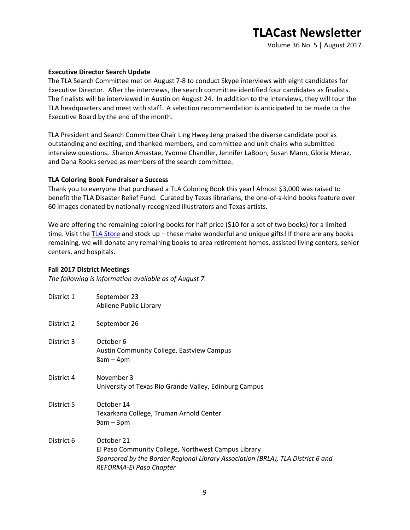Volume 36 No. 5 | August 2017

#### **Executive Director Search Update**

The TLA Search Committee met on August 7-8 to conduct Skype interviews with eight candidates for Executive Director. After the interviews, the search committee identified four candidates as finalists. The finalists will be interviewed in Austin on August 24. In addition to the interviews, they will tour the TLA headquarters and meet with staff. A selection recommendation is anticipated to be made to the Executive Board by the end of the month.

TLA President and Search Committee Chair Ling Hwey Jeng praised the diverse candidate pool as outstanding and exciting, and thanked members, and committee and unit chairs who submitted interview questions. Sharon Amastae, Yvonne Chandler, Jennifer LaBoon, Susan Mann, Gloria Meraz, and Dana Rooks served as members of the search committee.

#### **TLA Coloring Book Fundraiser a Success**

Thank you to everyone that purchased a TLA Coloring Book this year! Almost \$3,000 was raised to benefit the TLA Disaster Relief Fund. Curated by Texas librarians, the one-of-a-kind books feature over 60 images donated by nationally-recognized illustrators and Texas artists.

We are offering the remaining coloring books for half price (\$10 for a set of two books) for a limited time. Visit the [TLA Store](https://secure.txla.org/secure/cart/crtStore.asp?storekey=2) and stock up – these make wonderful and unique gifts! If there are any books remaining, we will donate any remaining books to area retirement homes, assisted living centers, senior centers, and hospitals.

#### **Fall 2017 District Meetings**

*The following is information available as of August 7.*

| District 1 | September 23<br>Abilene Public Library                                                                                                                                          |
|------------|---------------------------------------------------------------------------------------------------------------------------------------------------------------------------------|
| District 2 | September 26                                                                                                                                                                    |
| District 3 | October 6<br>Austin Community College, Eastview Campus<br>$8am - 4pm$                                                                                                           |
| District 4 | November 3<br>University of Texas Rio Grande Valley, Edinburg Campus                                                                                                            |
| District 5 | October 14<br>Texarkana College, Truman Arnold Center<br>$9am - 3pm$                                                                                                            |
| District 6 | October 21<br>El Paso Community College, Northwest Campus Library<br>Sponsored by the Border Regional Library Association (BRLA), TLA District 6 and<br>REFORMA-El Paso Chapter |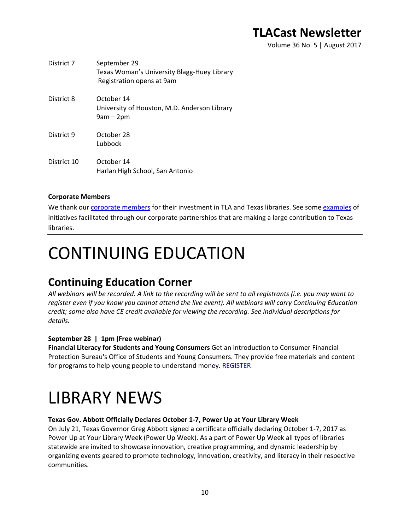Volume 36 No. 5 | August 2017

| District 7  | September 29<br>Texas Woman's University Blagg-Huey Library<br>Registration opens at 9am |
|-------------|------------------------------------------------------------------------------------------|
| District 8  | October 14<br>University of Houston, M.D. Anderson Library<br>$9am - 2pm$                |
| District 9  | October 28<br>Lubbock                                                                    |
| District 10 | October 14<br>Harlan High School, San Antonio                                            |

### **Corporate Members**

We thank our [corporate members](http://www.txla.org/cm) for their investment in TLA and Texas libraries. See some [examples](http://www.txla.org/public-relations-campaigns) of initiatives facilitated through our corporate partnerships that are making a large contribution to Texas libraries.

# CONTINUING EDUCATION

## **Continuing Education Corner**

*All webinars will be recorded. A link to the recording will be sent to all registrants (i.e. you may want to register even if you know you cannot attend the live event). All webinars will carry Continuing Education credit; some also have CE credit available for viewing the recording. See individual descriptions for details.*

### **September 28 | 1pm (Free webinar)**

**Financial Literacy for Students and Young Consumers** Get an introduction to Consumer Financial Protection Bureau's Office of Students and Young Consumers. They provide free materials and content for programs to help young people to understand money. [REGISTER](https://join.onstreammedia.com/register/80146595/young)

# LIBRARY NEWS

### **Texas Gov. Abbott Officially Declares October 1-7, Power Up at Your Library Week**

On July 21, Texas Governor Greg Abbott signed a certificate officially declaring October 1-7, 2017 as Power Up at Your Library Week (Power Up Week). As a part of Power Up Week all types of libraries statewide are invited to showcase innovation, creative programming, and dynamic leadership by organizing events geared to promote technology, innovation, creativity, and literacy in their respective communities.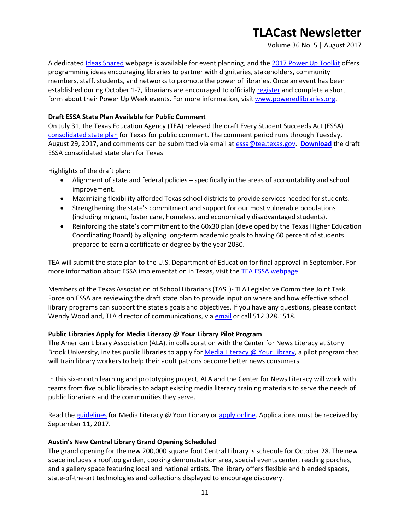Volume 36 No. 5 | August 2017

A dedicated [Ideas Shared](http://www.poweredlibraries.org/ideas-shared/) webpage is available for event planning, and the [2017 Power Up Toolkit](http://www.txla.org/sites/tla/files/pdf/handouts/POWER%20UP%20TOOLKIT.pdf) offers programming ideas encouraging libraries to partner with dignitaries, stakeholders, community members, staff, students, and networks to promote the power of libraries. Once an event has been established during October 1-7, librarians are encouraged to officially [register](https://docs.google.com/forms/d/e/1FAIpQLSeKAAfnZOShosx4BUTKYG0VUO0VkgdM76oTfNS9df4gV_3PpQ/viewform) and complete a short form about their Power Up Week events. For more information, visit [www.poweredlibraries.org.](http://www.poweredlibraries.org/)

### **Draft ESSA State Plan Available for Public Comment**

On July 31, the Texas Education Agency (TEA) released the draft Every Student Succeeds Act (ESSA) [consolidated state plan](http://tea.texas.gov/About_TEA/Laws_and_Rules/ESSA/Every_Student_Succeeds_Act/) for Texas for public comment. The comment period runs through Tuesday, August 29, 2017, and comments can be submitted via email at [essa@tea.texas.gov.](mailto:essa@tea.texas.gov) **[Download](http://tea.texas.gov/WorkArea/DownloadAsset.aspx?id=51539615990)** the draft ESSA consolidated state plan for Texas

Highlights of the draft plan:

- Alignment of state and federal policies specifically in the areas of accountability and school improvement.
- Maximizing flexibility afforded Texas school districts to provide services needed for students.
- Strengthening the state's commitment and support for our most vulnerable populations (including migrant, foster care, homeless, and economically disadvantaged students).
- Reinforcing the state's commitment to the 60x30 plan (developed by the Texas Higher Education Coordinating Board) by aligning long-term academic goals to having 60 percent of students prepared to earn a certificate or degree by the year 2030.

TEA will submit the state plan to the U.S. Department of Education for final approval in September. For more information about ESSA implementation in Texas, visit th[e TEA ESSA webpage.](http://tea.texas.gov/About_TEA/Laws_and_Rules/ESSA/Every_Student_Succeeds_Act/)

Members of the Texas Association of School Librarians (TASL)- TLA Legislative Committee Joint Task Force on ESSA are reviewing the draft state plan to provide input on where and how effective school library programs can support the state's goals and objectives. If you have any questions, please contact Wendy Woodland, TLA director of communications, via [email](mailto:wendyw@txla.org) or call 512.328.1518.

#### **Public Libraries Apply for Media Literacy @ Your Library Pilot Program**

The American Library Association (ALA), in collaboration with the Center for News Literacy at Stony Brook University, invites public libraries to apply for [Media Literacy @ Your Library,](http://www.ala.org/news/member-news/2017/08/apply-now-media-literacy-your-library-opportunity-public-libraries) a pilot program that will train library workers to help their adult patrons become better news consumers.

In this six-month learning and prototyping project, ALA and the Center for News Literacy will work with teams from five public libraries to adapt existing media literacy training materials to serve the needs of public librarians and the communities they serve.

Read the [guidelines](https://apply.ala.org/medialiteracy/guidelines) for Media Literacy @ Your Library or [apply online.](https://apply.ala.org/medialiteracy) Applications must be received by September 11, 2017.

#### **Austin's New Central Library Grand Opening Scheduled**

The grand opening for the new 200,000 square foot Central Library is schedule for October 28. The new space includes a rooftop garden, cooking demonstration area, special events center, reading porches, and a gallery space featuring local and national artists. The library offers flexible and blended spaces, state-of-the-art technologies and collections displayed to encourage discovery.